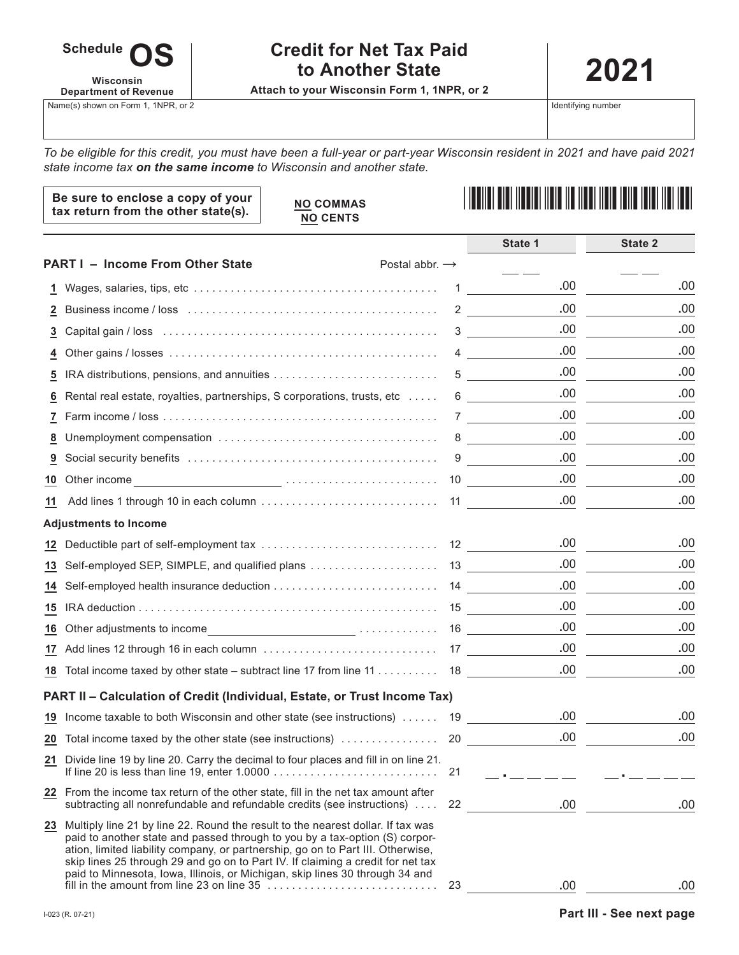

# **Credit for Net Tax Paid to Another State**

**Attach to your Wisconsin Form 1, 1NPR, or 2**

**2021**

Identifying number

*To be eligible for this credit, you must have been a full-year or part-year Wisconsin resident in 2021 and have paid 2021 state income tax on the same income to Wisconsin and another state.*

| Be sure to enclose a copy of your<br>tax return from the other state(s). | <b>NO COMMAS</b><br><b>NO CENTS</b> |  |
|--------------------------------------------------------------------------|-------------------------------------|--|
|                                                                          |                                     |  |

|                 |                                                                                                                                                                                                                                                                                                                                                                                                                         |    | State 1                                  | State 2 |
|-----------------|-------------------------------------------------------------------------------------------------------------------------------------------------------------------------------------------------------------------------------------------------------------------------------------------------------------------------------------------------------------------------------------------------------------------------|----|------------------------------------------|---------|
|                 | <b>PART I - Income From Other State</b><br>Postal abbr. $\rightarrow$                                                                                                                                                                                                                                                                                                                                                   |    |                                          |         |
| 1               |                                                                                                                                                                                                                                                                                                                                                                                                                         | 1  | .00                                      | .00     |
| 2               |                                                                                                                                                                                                                                                                                                                                                                                                                         |    | .00<br>$2 \left( \frac{1}{2} \right)$    | .00     |
| 3               |                                                                                                                                                                                                                                                                                                                                                                                                                         |    | .00<br>$3 \left( \frac{1}{2} \right)$    | .00     |
| 4               |                                                                                                                                                                                                                                                                                                                                                                                                                         |    | .00<br>$4\overline{ }$                   | .00     |
| 5               | IRA distributions, pensions, and annuities                                                                                                                                                                                                                                                                                                                                                                              |    | .00<br>$5\overline{)}$                   | .00     |
| 6               | Rental real estate, royalties, partnerships, S corporations, trusts, etc                                                                                                                                                                                                                                                                                                                                                | 6  | .00.                                     | .00     |
| 7               |                                                                                                                                                                                                                                                                                                                                                                                                                         |    | .00<br>$7$ and $\sim$ 7                  | .00     |
| 8               |                                                                                                                                                                                                                                                                                                                                                                                                                         | 8  | .00<br><b>Contract Contract Contract</b> | .00     |
| 9               |                                                                                                                                                                                                                                                                                                                                                                                                                         | 9  | .00                                      | .00     |
| 10              | Other income example and the contract of the contract of the contract of the contract of the contract of the contract of the contract of the contract of the contract of the contract of the contract of the contract of the c                                                                                                                                                                                          |    | .00<br>10                                | .00     |
| 11              |                                                                                                                                                                                                                                                                                                                                                                                                                         |    | .00                                      | .00     |
|                 | <b>Adjustments to Income</b>                                                                                                                                                                                                                                                                                                                                                                                            |    |                                          |         |
| 12 <sub>2</sub> |                                                                                                                                                                                                                                                                                                                                                                                                                         |    | .00                                      | .00     |
| 13              | Self-employed SEP, SIMPLE, and qualified plans                                                                                                                                                                                                                                                                                                                                                                          |    | .00.<br>13                               | .00     |
| 14              |                                                                                                                                                                                                                                                                                                                                                                                                                         |    | .00                                      | .00     |
| 15              |                                                                                                                                                                                                                                                                                                                                                                                                                         |    | .00                                      | .00     |
| 16              | Other adjustments to income                                                                                                                                                                                                                                                                                                                                                                                             |    | .00                                      | .00     |
| 17              |                                                                                                                                                                                                                                                                                                                                                                                                                         |    | .00                                      | .00     |
| 18              | Total income taxed by other state – subtract line 17 from line 11 $\dots \dots \dots$ 18                                                                                                                                                                                                                                                                                                                                |    | .00.                                     | .00     |
|                 | PART II - Calculation of Credit (Individual, Estate, or Trust Income Tax)                                                                                                                                                                                                                                                                                                                                               |    |                                          |         |
| 19              | Income taxable to both Wisconsin and other state (see instructions)  19                                                                                                                                                                                                                                                                                                                                                 |    | .00.                                     | .00     |
| $\overline{20}$ |                                                                                                                                                                                                                                                                                                                                                                                                                         |    | .00                                      | .00     |
| 21              | Divide line 19 by line 20. Carry the decimal to four places and fill in on line 21.                                                                                                                                                                                                                                                                                                                                     | 21 |                                          |         |
|                 | 22 From the income tax return of the other state, fill in the net tax amount after<br>subtracting all nonrefundable and refundable credits (see instructions)                                                                                                                                                                                                                                                           | 22 | .00                                      | .00     |
|                 | 23 Multiply line 21 by line 22. Round the result to the nearest dollar. If tax was<br>paid to another state and passed through to you by a tax-option (S) corpor-<br>ation, limited liability company, or partnership, go on to Part III. Otherwise,<br>skip lines 25 through 29 and go on to Part IV. If claiming a credit for net tax<br>paid to Minnesota, Iowa, Illinois, or Michigan, skip lines 30 through 34 and | 23 | .00                                      | .00     |
|                 |                                                                                                                                                                                                                                                                                                                                                                                                                         |    |                                          |         |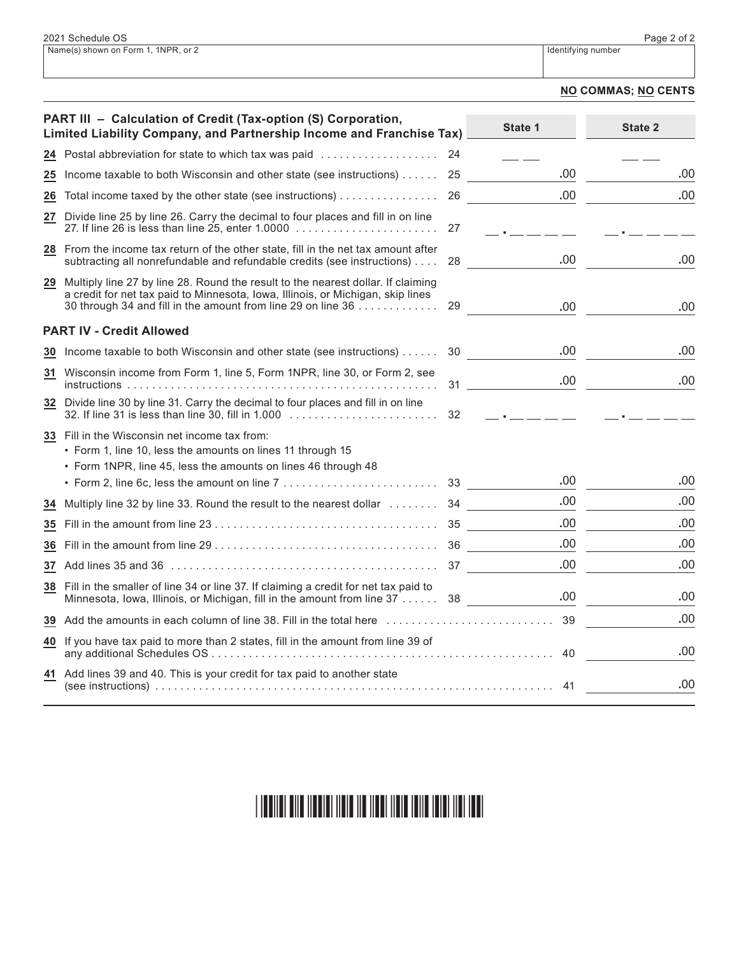#### **NO COMMAS; NO CENTS**

|    | PART III - Calculation of Credit (Tax-option (S) Corporation,<br>Limited Liability Company, and Partnership Income and Franchise Tax)                                                                                               |    | State 1                         | State 2 |
|----|-------------------------------------------------------------------------------------------------------------------------------------------------------------------------------------------------------------------------------------|----|---------------------------------|---------|
|    | 24 Postal abbreviation for state to which tax was paid                                                                                                                                                                              | 24 |                                 |         |
| 25 | Income taxable to both Wisconsin and other state (see instructions) $\dots$ .                                                                                                                                                       | 25 | .00                             | .00     |
| 26 | Total income taxed by the other state (see instructions)                                                                                                                                                                            | 26 | .00                             | .00     |
| 27 | Divide line 25 by line 26. Carry the decimal to four places and fill in on line                                                                                                                                                     | 27 | $\rightarrow$ $\pm$ $\pm$ $\pm$ |         |
|    | 28 From the income tax return of the other state, fill in the net tax amount after<br>subtracting all nonrefundable and refundable credits (see instructions)                                                                       | 28 | .00                             | .00     |
| 29 | Multiply line 27 by line 28. Round the result to the nearest dollar. If claiming<br>a credit for net tax paid to Minnesota, Iowa, Illinois, or Michigan, skip lines<br>30 through 34 and fill in the amount from line 29 on line 36 | 29 | .00.                            | .00     |
|    | <b>PART IV - Credit Allowed</b>                                                                                                                                                                                                     |    |                                 |         |
|    | 30 Income taxable to both Wisconsin and other state (see instructions)                                                                                                                                                              | 30 | .00                             | .00     |
| 31 | Wisconsin income from Form 1, line 5, Form 1NPR, line 30, or Form 2, see                                                                                                                                                            |    | .00.<br>$31$ and $31$           | .00     |
|    | 32 Divide line 30 by line 31. Carry the decimal to four places and fill in on line                                                                                                                                                  | 32 | $\frac{1}{2}$                   |         |
|    | 33 Fill in the Wisconsin net income tax from:<br>• Form 1, line 10, less the amounts on lines 11 through 15                                                                                                                         |    |                                 |         |
|    | • Form 1NPR, line 45, less the amounts on lines 46 through 48                                                                                                                                                                       |    | .00                             | .00     |
|    | • Form 2, line 6c, less the amount on line 7 $\ldots \ldots \ldots \ldots \ldots \ldots \ldots$ 33                                                                                                                                  |    | .00.                            | .00     |
| 34 | Multiply line 32 by line 33. Round the result to the nearest dollar  34                                                                                                                                                             |    | .00.                            | .00     |
| 35 |                                                                                                                                                                                                                                     |    |                                 |         |
| 36 |                                                                                                                                                                                                                                     |    | .00.                            | .00     |
| 37 |                                                                                                                                                                                                                                     |    | .00.                            | .00     |
|    | 38 Fill in the smaller of line 34 or line 37. If claiming a credit for net tax paid to<br>Minnesota, Iowa, Illinois, or Michigan, fill in the amount from line 37 38                                                                |    | .00.                            | .00     |
|    | 39 Add the amounts in each column of line 38. Fill in the total here                                                                                                                                                                |    | 39                              | .00     |
| 40 | If you have tax paid to more than 2 states, fill in the amount from line 39 of                                                                                                                                                      |    | 40                              | .00     |
|    | 41 Add lines 39 and 40. This is your credit for tax paid to another state                                                                                                                                                           |    | 41                              | .00     |

#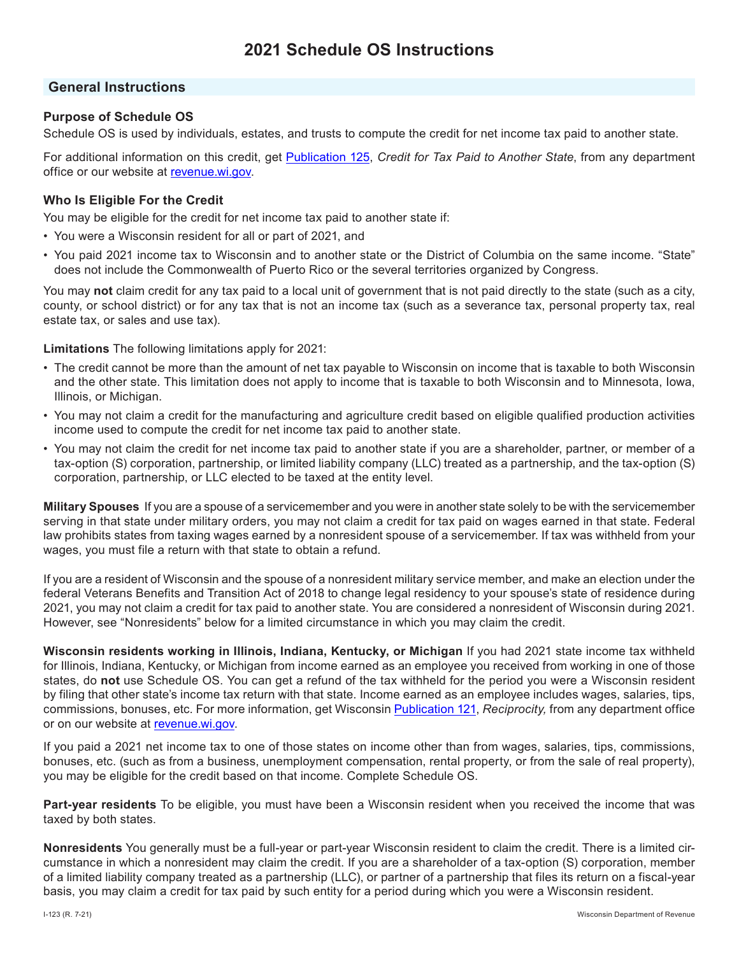# **General Instructions**

# **Purpose of Schedule OS**

Schedule OS is used by individuals, estates, and trusts to compute the credit for net income tax paid to another state.

For additional information on this credit, get Publication 125, *Credit for Tax Paid to Another State*, from any department office or our website at revenue.wi.gov.

# **Who Is Eligible For the Credit**

You may be eligible for the credit for net income tax paid to another state if:

- You were a Wisconsin resident for all or part of 2021, and
- You paid 2021 income tax to Wisconsin and to another state or the District of Columbia on the same income. "State" does not include the Commonwealth of Puerto Rico or the several territories organized by Congress.

You may **not** claim credit for any tax paid to a local unit of government that is not paid directly to the state (such as a city, county, or school district) or for any tax that is not an income tax (such as a severance tax, personal property tax, real estate tax, or sales and use tax).

**Limitations** The following limitations apply for 2021:

- The credit cannot be more than the amount of net tax payable to Wisconsin on income that is taxable to both Wisconsin and the other state. This limitation does not apply to income that is taxable to both Wisconsin and to Minnesota, Iowa, Illinois, or Michigan.
- You may not claim a credit for the manufacturing and agriculture credit based on eligible qualified production activities income used to compute the credit for net income tax paid to another state.
- You may not claim the credit for net income tax paid to another state if you are a shareholder, partner, or member of a tax-option (S) corporation, partnership, or limited liability company (LLC) treated as a partnership, and the tax-option (S) corporation, partnership, or LLC elected to be taxed at the entity level.

**Military Spouses** If you are a spouse of a servicemember and you were in another state solely to be with the servicemember serving in that state under military orders, you may not claim a credit for tax paid on wages earned in that state. Federal law prohibits states from taxing wages earned by a nonresident spouse of a servicemember. If tax was withheld from your wages, you must file a return with that state to obtain a refund.

If you are a resident of Wisconsin and the spouse of a nonresident military service member, and make an election under the federal Veterans Benefits and Transition Act of 2018 to change legal residency to your spouse's state of residence during 2021, you may not claim a credit for tax paid to another state. You are considered a nonresident of Wisconsin during 2021. However, see "Nonresidents" below for a limited circumstance in which you may claim the credit.

**Wisconsin residents working in Illinois, Indiana, Kentucky, or Michigan** If you had 2021 state income tax withheld for Illinois, Indiana, Kentucky, or Michigan from income earned as an employee you received from working in one of those states, do **not** use Schedule OS. You can get a refund of the tax withheld for the period you were a Wisconsin resident by filing that other state's income tax return with that state. Income earned as an employee includes wages, salaries, tips, commissions, bonuses, etc. For more information, get Wisconsin Publication 121, *Reciprocity,* from any department office or on our website at revenue.wi.gov.

If you paid a 2021 net income tax to one of those states on income other than from wages, salaries, tips, commissions, bonuses, etc. (such as from a business, unemployment compensation, rental property, or from the sale of real property), you may be eligible for the credit based on that income. Complete Schedule OS.

**Part-year residents** To be eligible, you must have been a Wisconsin resident when you received the income that was taxed by both states.

**Nonresidents** You generally must be a full-year or part-year Wisconsin resident to claim the credit. There is a limited circumstance in which a nonresident may claim the credit. If you are a shareholder of a tax-option (S) corporation, member of a limited liability company treated as a partnership (LLC), or partner of a partnership that files its return on a fiscal-year basis, you may claim a credit for tax paid by such entity for a period during which you were a Wisconsin resident.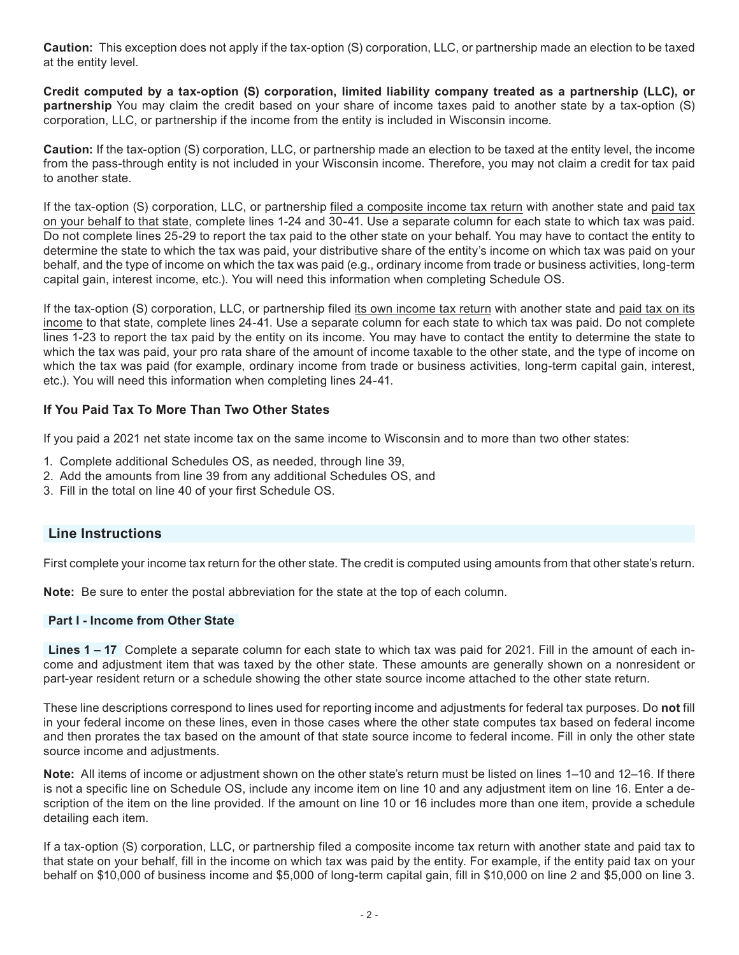**Caution:** This exception does not apply if the tax-option (S) corporation, LLC, or partnership made an election to be taxed at the entity level.

**Credit computed by a tax-option (S) corporation, limited liability company treated as a partnership (LLC), or partnership** You may claim the credit based on your share of income taxes paid to another state by a tax-option (S) corporation, LLC, or partnership if the income from the entity is included in Wisconsin income.

**Caution:** If the tax-option (S) corporation, LLC, or partnership made an election to be taxed at the entity level, the income from the pass-through entity is not included in your Wisconsin income. Therefore, you may not claim a credit for tax paid to another state.

If the tax-option (S) corporation, LLC, or partnership filed a composite income tax return with another state and paid tax on your behalf to that state, complete lines 1-24 and 30-41. Use a separate column for each state to which tax was paid. Do not complete lines 25-29 to report the tax paid to the other state on your behalf. You may have to contact the entity to determine the state to which the tax was paid, your distributive share of the entity's income on which tax was paid on your behalf, and the type of income on which the tax was paid (e.g., ordinary income from trade or business activities, long-term capital gain, interest income, etc.). You will need this information when completing Schedule OS.

If the tax-option (S) corporation, LLC, or partnership filed its own income tax return with another state and paid tax on its income to that state, complete lines 24-41. Use a separate column for each state to which tax was paid. Do not complete lines 1-23 to report the tax paid by the entity on its income. You may have to contact the entity to determine the state to which the tax was paid, your pro rata share of the amount of income taxable to the other state, and the type of income on which the tax was paid (for example, ordinary income from trade or business activities, long-term capital gain, interest, etc.). You will need this information when completing lines 24-41.

# **If You Paid Tax To More Than Two Other States**

If you paid a 2021 net state income tax on the same income to Wisconsin and to more than two other states:

- 1. Complete additional Schedules OS, as needed, through line 39,
- 2. Add the amounts from line 39 from any additional Schedules OS, and
- 3. Fill in the total on line 40 of your first Schedule OS.

# **Line Instructions**

First complete your income tax return for the other state. The credit is computed using amounts from that other state's return.

**Note:** Be sure to enter the postal abbreviation for the state at the top of each column.

## **Part I - Income from Other State**

**Lines 1 – 17** Complete a separate column for each state to which tax was paid for 2021. Fill in the amount of each income and adjustment item that was taxed by the other state. These amounts are generally shown on a nonresident or part-year resident return or a schedule showing the other state source income attached to the other state return.

These line descriptions correspond to lines used for reporting income and adjustments for federal tax purposes. Do **not** fill in your federal income on these lines, even in those cases where the other state computes tax based on federal income and then prorates the tax based on the amount of that state source income to federal income. Fill in only the other state source income and adjustments.

**Note:** All items of income or adjustment shown on the other state's return must be listed on lines 1–10 and 12–16. If there is not a specific line on Schedule OS, include any income item on line 10 and any adjustment item on line 16. Enter a description of the item on the line provided. If the amount on line 10 or 16 includes more than one item, provide a schedule detailing each item.

If a tax-option (S) corporation, LLC, or partnership filed a composite income tax return with another state and paid tax to that state on your behalf, fill in the income on which tax was paid by the entity. For example, if the entity paid tax on your behalf on \$10,000 of business income and \$5,000 of long-term capital gain, fill in \$10,000 on line 2 and \$5,000 on line 3.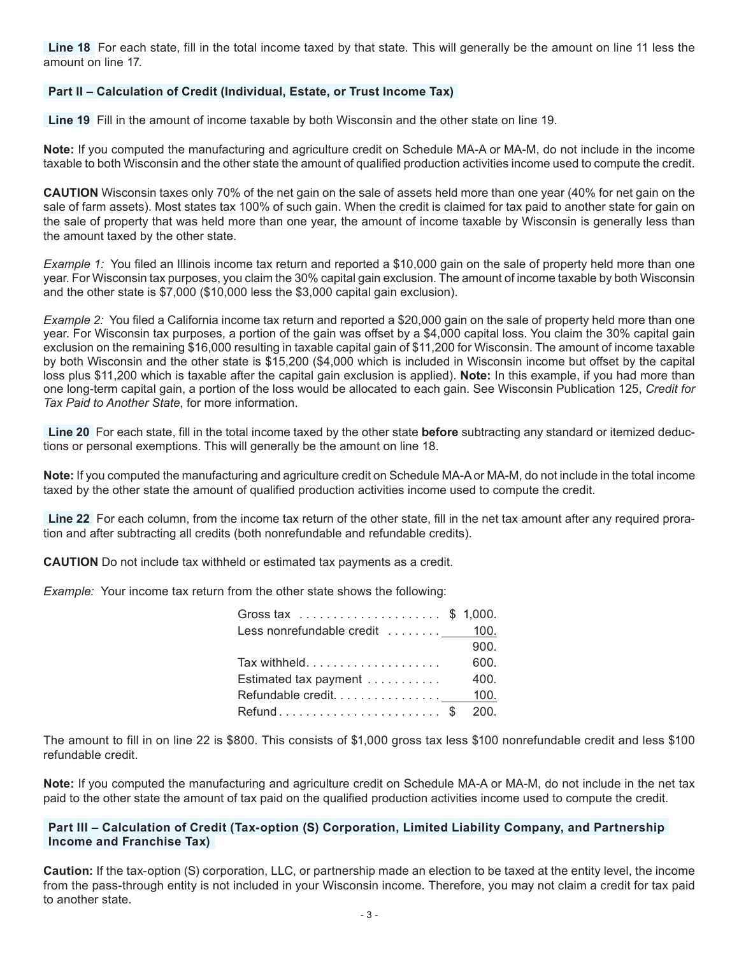**Line 18** For each state, fill in the total income taxed by that state. This will generally be the amount on line 11 less the amount on line 17.

#### **Part II – Calculation of Credit (Individual, Estate, or Trust Income Tax)**

**Line 19** Fill in the amount of income taxable by both Wisconsin and the other state on line 19.

**Note:** If you computed the manufacturing and agriculture credit on Schedule MA-A or MA-M, do not include in the income taxable to both Wisconsin and the other state the amount of qualified production activities income used to compute the credit.

**CAUTION** Wisconsin taxes only 70% of the net gain on the sale of assets held more than one year (40% for net gain on the sale of farm assets). Most states tax 100% of such gain. When the credit is claimed for tax paid to another state for gain on the sale of property that was held more than one year, the amount of income taxable by Wisconsin is generally less than the amount taxed by the other state.

*Example 1:* You filed an Illinois income tax return and reported a \$10,000 gain on the sale of property held more than one year. For Wisconsin tax purposes, you claim the 30% capital gain exclusion. The amount of income taxable by both Wisconsin and the other state is \$7,000 (\$10,000 less the \$3,000 capital gain exclusion).

*Example 2:* You filed a California income tax return and reported a \$20,000 gain on the sale of property held more than one year. For Wisconsin tax purposes, a portion of the gain was offset by a \$4,000 capital loss. You claim the 30% capital gain exclusion on the remaining \$16,000 resulting in taxable capital gain of \$11,200 for Wisconsin. The amount of income taxable by both Wisconsin and the other state is \$15,200 (\$4,000 which is included in Wisconsin income but offset by the capital loss plus \$11,200 which is taxable after the capital gain exclusion is applied). **Note:** In this example, if you had more than one long-term capital gain, a portion of the loss would be allocated to each gain. See Wisconsin Publication 125, *Credit for Tax Paid to Another State*, for more information.

**Line 20** For each state, fill in the total income taxed by the other state **before** subtracting any standard or itemized deductions or personal exemptions. This will generally be the amount on line 18.

**Note:** If you computed the manufacturing and agriculture credit on Schedule MA-A or MA-M, do not include in the total income taxed by the other state the amount of qualified production activities income used to compute the credit.

**Line 22** For each column, from the income tax return of the other state, fill in the net tax amount after any required proration and after subtracting all credits (both nonrefundable and refundable credits).

**CAUTION** Do not include tax withheld or estimated tax payments as a credit.

*Example:* Your income tax return from the other state shows the following:

| Gross tax \$ 1,000.             |      |
|---------------------------------|------|
| Less nonrefundable credit  100. |      |
|                                 | 900. |
|                                 | 600. |
| Estimated tax payment           | 400. |
| Refundable credit 100.          |      |
| Refund\$ 200.                   |      |

The amount to fill in on line 22 is \$800. This consists of \$1,000 gross tax less \$100 nonrefundable credit and less \$100 refundable credit.

**Note:** If you computed the manufacturing and agriculture credit on Schedule MA-A or MA-M, do not include in the net tax paid to the other state the amount of tax paid on the qualified production activities income used to compute the credit.

#### **Part III – Calculation of Credit (Tax-option (S) Corporation, Limited Liability Company, and Partnership Income and Franchise Tax)**

**Caution:** If the tax-option (S) corporation, LLC, or partnership made an election to be taxed at the entity level, the income from the pass-through entity is not included in your Wisconsin income. Therefore, you may not claim a credit for tax paid to another state.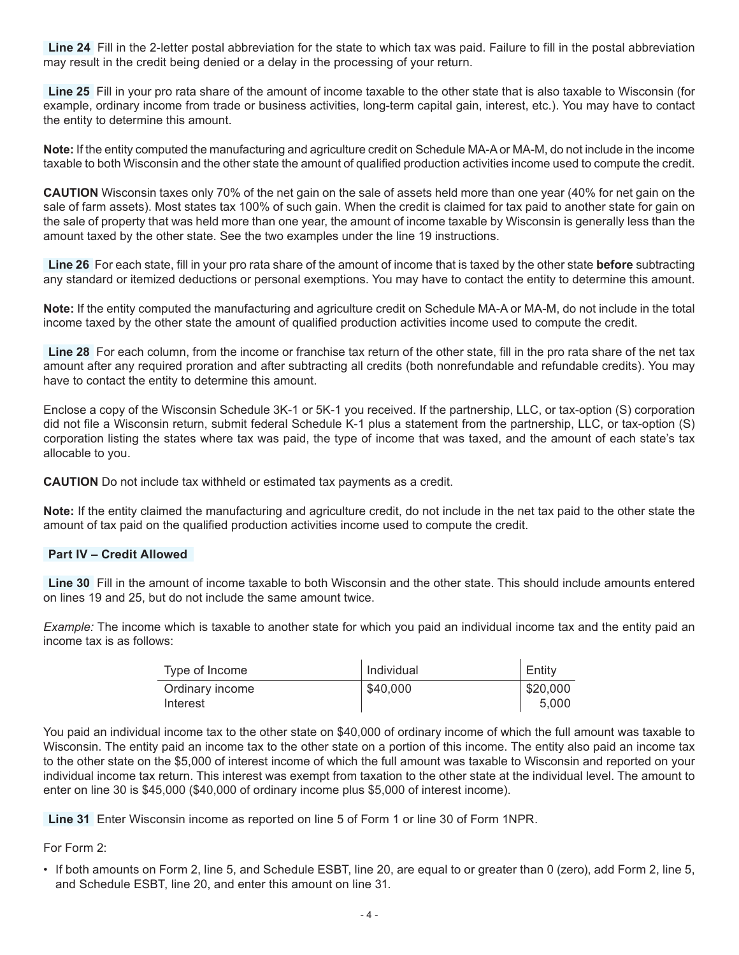**Line 24** Fill in the 2-letter postal abbreviation for the state to which tax was paid. Failure to fill in the postal abbreviation may result in the credit being denied or a delay in the processing of your return.

**Line 25** Fill in your pro rata share of the amount of income taxable to the other state that is also taxable to Wisconsin (for example, ordinary income from trade or business activities, long-term capital gain, interest, etc.). You may have to contact the entity to determine this amount.

**Note:** If the entity computed the manufacturing and agriculture credit on Schedule MA-A or MA-M, do not include in the income taxable to both Wisconsin and the other state the amount of qualified production activities income used to compute the credit.

**CAUTION** Wisconsin taxes only 70% of the net gain on the sale of assets held more than one year (40% for net gain on the sale of farm assets). Most states tax 100% of such gain. When the credit is claimed for tax paid to another state for gain on the sale of property that was held more than one year, the amount of income taxable by Wisconsin is generally less than the amount taxed by the other state. See the two examples under the line 19 instructions.

**Line 26** For each state, fill in your pro rata share of the amount of income that is taxed by the other state **before** subtracting any standard or itemized deductions or personal exemptions. You may have to contact the entity to determine this amount.

**Note:** If the entity computed the manufacturing and agriculture credit on Schedule MA-A or MA-M, do not include in the total income taxed by the other state the amount of qualified production activities income used to compute the credit.

**Line 28** For each column, from the income or franchise tax return of the other state, fill in the pro rata share of the net tax amount after any required proration and after subtracting all credits (both nonrefundable and refundable credits). You may have to contact the entity to determine this amount.

Enclose a copy of the Wisconsin Schedule 3K-1 or 5K-1 you received. If the partnership, LLC, or tax-option (S) corporation did not file a Wisconsin return, submit federal Schedule K-1 plus a statement from the partnership, LLC, or tax-option (S) corporation listing the states where tax was paid, the type of income that was taxed, and the amount of each state's tax allocable to you.

**CAUTION** Do not include tax withheld or estimated tax payments as a credit.

**Note:** If the entity claimed the manufacturing and agriculture credit, do not include in the net tax paid to the other state the amount of tax paid on the qualified production activities income used to compute the credit.

#### **Part IV – Credit Allowed**

**Line 30** Fill in the amount of income taxable to both Wisconsin and the other state. This should include amounts entered on lines 19 and 25, but do not include the same amount twice.

*Example:* The income which is taxable to another state for which you paid an individual income tax and the entity paid an income tax is as follows:

| Type of Income              | l Individual | Entity            |
|-----------------------------|--------------|-------------------|
| Ordinary income<br>Interest | \$40,000     | \$20,000<br>5.000 |

You paid an individual income tax to the other state on \$40,000 of ordinary income of which the full amount was taxable to Wisconsin. The entity paid an income tax to the other state on a portion of this income. The entity also paid an income tax to the other state on the \$5,000 of interest income of which the full amount was taxable to Wisconsin and reported on your individual income tax return. This interest was exempt from taxation to the other state at the individual level. The amount to enter on line 30 is \$45,000 (\$40,000 of ordinary income plus \$5,000 of interest income).

**Line 31** Enter Wisconsin income as reported on line 5 of Form 1 or line 30 of Form 1NPR.

### For Form 2:

• If both amounts on Form 2, line 5, and Schedule ESBT, line 20, are equal to or greater than 0 (zero), add Form 2, line 5, and Schedule ESBT, line 20, and enter this amount on line 31.